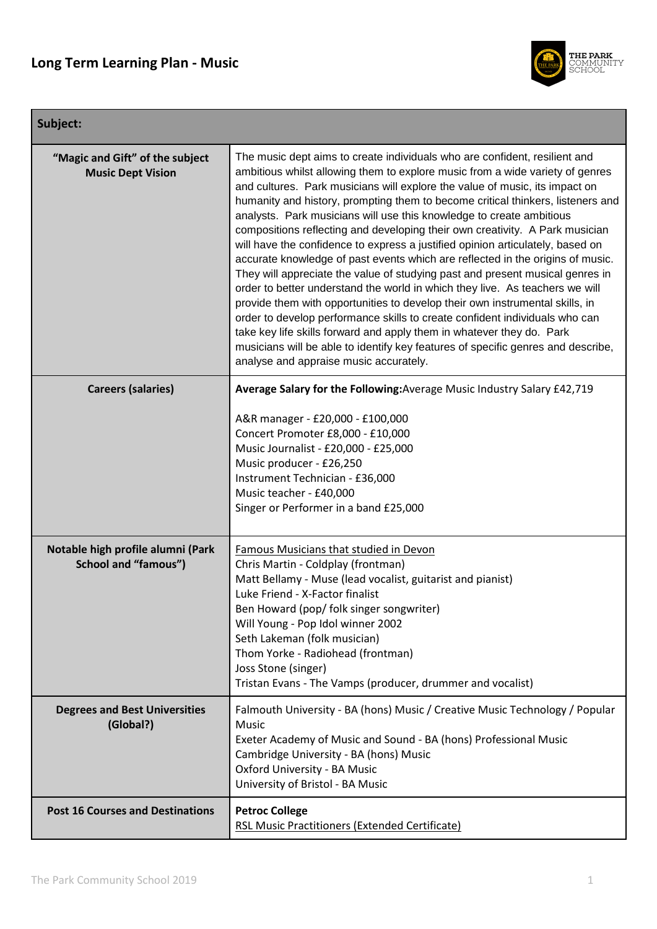

### **Subject:**

| "Magic and Gift" of the subject<br><b>Music Dept Vision</b>      | The music dept aims to create individuals who are confident, resilient and<br>ambitious whilst allowing them to explore music from a wide variety of genres<br>and cultures. Park musicians will explore the value of music, its impact on<br>humanity and history, prompting them to become critical thinkers, listeners and<br>analysts. Park musicians will use this knowledge to create ambitious<br>compositions reflecting and developing their own creativity. A Park musician<br>will have the confidence to express a justified opinion articulately, based on<br>accurate knowledge of past events which are reflected in the origins of music.<br>They will appreciate the value of studying past and present musical genres in<br>order to better understand the world in which they live. As teachers we will<br>provide them with opportunities to develop their own instrumental skills, in<br>order to develop performance skills to create confident individuals who can<br>take key life skills forward and apply them in whatever they do. Park<br>musicians will be able to identify key features of specific genres and describe,<br>analyse and appraise music accurately. |
|------------------------------------------------------------------|--------------------------------------------------------------------------------------------------------------------------------------------------------------------------------------------------------------------------------------------------------------------------------------------------------------------------------------------------------------------------------------------------------------------------------------------------------------------------------------------------------------------------------------------------------------------------------------------------------------------------------------------------------------------------------------------------------------------------------------------------------------------------------------------------------------------------------------------------------------------------------------------------------------------------------------------------------------------------------------------------------------------------------------------------------------------------------------------------------------------------------------------------------------------------------------------------|
| <b>Careers (salaries)</b>                                        | Average Salary for the Following: Average Music Industry Salary £42,719                                                                                                                                                                                                                                                                                                                                                                                                                                                                                                                                                                                                                                                                                                                                                                                                                                                                                                                                                                                                                                                                                                                          |
|                                                                  | A&R manager - £20,000 - £100,000<br>Concert Promoter £8,000 - £10,000<br>Music Journalist - £20,000 - £25,000<br>Music producer - £26,250<br>Instrument Technician - £36,000<br>Music teacher - £40,000<br>Singer or Performer in a band £25,000                                                                                                                                                                                                                                                                                                                                                                                                                                                                                                                                                                                                                                                                                                                                                                                                                                                                                                                                                 |
| Notable high profile alumni (Park<br><b>School and "famous")</b> | <b>Famous Musicians that studied in Devon</b><br>Chris Martin - Coldplay (frontman)<br>Matt Bellamy - Muse (lead vocalist, guitarist and pianist)<br>Luke Friend - X-Factor finalist<br>Ben Howard (pop/ folk singer songwriter)<br>Will Young - Pop Idol winner 2002<br>Seth Lakeman (folk musician)<br>Thom Yorke - Radiohead (frontman)<br>Joss Stone (singer)<br>Tristan Evans - The Vamps (producer, drummer and vocalist)                                                                                                                                                                                                                                                                                                                                                                                                                                                                                                                                                                                                                                                                                                                                                                  |
| <b>Degrees and Best Universities</b><br>(Global?)                | Falmouth University - BA (hons) Music / Creative Music Technology / Popular<br><b>Music</b><br>Exeter Academy of Music and Sound - BA (hons) Professional Music<br>Cambridge University - BA (hons) Music<br>Oxford University - BA Music<br>University of Bristol - BA Music                                                                                                                                                                                                                                                                                                                                                                                                                                                                                                                                                                                                                                                                                                                                                                                                                                                                                                                    |
| <b>Post 16 Courses and Destinations</b>                          | <b>Petroc College</b><br><b>RSL Music Practitioners (Extended Certificate)</b>                                                                                                                                                                                                                                                                                                                                                                                                                                                                                                                                                                                                                                                                                                                                                                                                                                                                                                                                                                                                                                                                                                                   |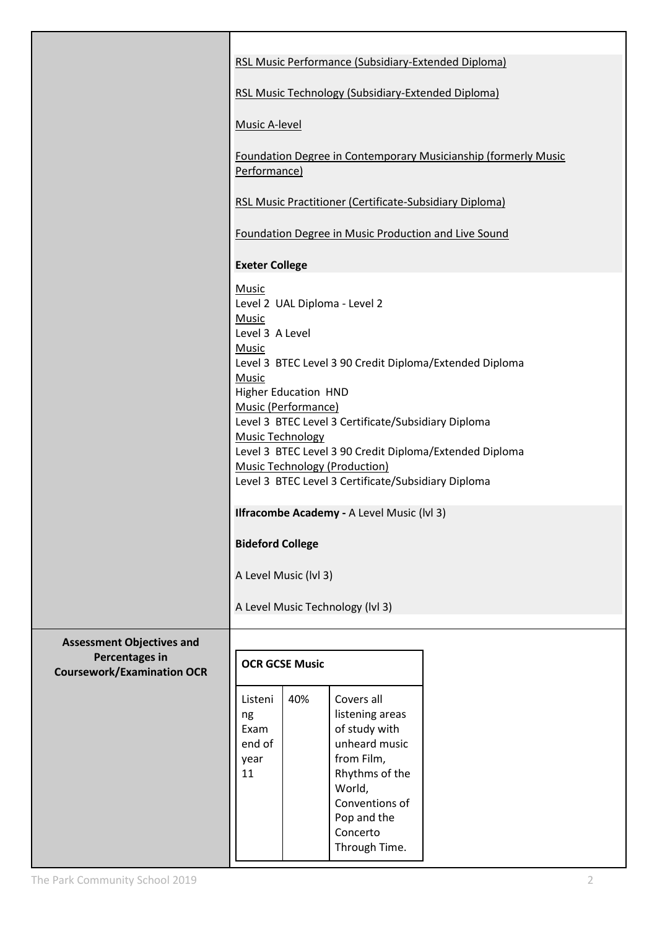|                                                            | RSL Music Performance (Subsidiary-Extended Diploma)                                                                                                                                                                                                                                                                                                                                                                                                                                                                                                                      |     |                                                                                                                                                                         |  |
|------------------------------------------------------------|--------------------------------------------------------------------------------------------------------------------------------------------------------------------------------------------------------------------------------------------------------------------------------------------------------------------------------------------------------------------------------------------------------------------------------------------------------------------------------------------------------------------------------------------------------------------------|-----|-------------------------------------------------------------------------------------------------------------------------------------------------------------------------|--|
|                                                            | RSL Music Technology (Subsidiary-Extended Diploma)                                                                                                                                                                                                                                                                                                                                                                                                                                                                                                                       |     |                                                                                                                                                                         |  |
|                                                            | <b>Music A-level</b>                                                                                                                                                                                                                                                                                                                                                                                                                                                                                                                                                     |     |                                                                                                                                                                         |  |
|                                                            | Foundation Degree in Contemporary Musicianship (formerly Music<br>Performance)                                                                                                                                                                                                                                                                                                                                                                                                                                                                                           |     |                                                                                                                                                                         |  |
|                                                            | <b>RSL Music Practitioner (Certificate-Subsidiary Diploma)</b>                                                                                                                                                                                                                                                                                                                                                                                                                                                                                                           |     |                                                                                                                                                                         |  |
|                                                            | Foundation Degree in Music Production and Live Sound                                                                                                                                                                                                                                                                                                                                                                                                                                                                                                                     |     |                                                                                                                                                                         |  |
|                                                            | <b>Exeter College</b>                                                                                                                                                                                                                                                                                                                                                                                                                                                                                                                                                    |     |                                                                                                                                                                         |  |
|                                                            | <b>Music</b><br>Level 2 UAL Diploma - Level 2<br><b>Music</b><br>Level 3 A Level<br><b>Music</b><br>Level 3 BTEC Level 3 90 Credit Diploma/Extended Diploma<br>Music<br><b>Higher Education HND</b><br>Music (Performance)<br>Level 3 BTEC Level 3 Certificate/Subsidiary Diploma<br><b>Music Technology</b><br>Level 3 BTEC Level 3 90 Credit Diploma/Extended Diploma<br><b>Music Technology (Production)</b><br>Level 3 BTEC Level 3 Certificate/Subsidiary Diploma<br>Ilfracombe Academy - A Level Music (IvI 3)<br><b>Bideford College</b><br>A Level Music (lvl 3) |     |                                                                                                                                                                         |  |
|                                                            | A Level Music Technology (IvI 3)                                                                                                                                                                                                                                                                                                                                                                                                                                                                                                                                         |     |                                                                                                                                                                         |  |
| <b>Assessment Objectives and</b>                           |                                                                                                                                                                                                                                                                                                                                                                                                                                                                                                                                                                          |     |                                                                                                                                                                         |  |
| <b>Percentages in</b><br><b>Coursework/Examination OCR</b> | <b>OCR GCSE Music</b>                                                                                                                                                                                                                                                                                                                                                                                                                                                                                                                                                    |     |                                                                                                                                                                         |  |
|                                                            | Listeni<br>ng<br>Exam<br>end of<br>year<br>11                                                                                                                                                                                                                                                                                                                                                                                                                                                                                                                            | 40% | Covers all<br>listening areas<br>of study with<br>unheard music<br>from Film,<br>Rhythms of the<br>World,<br>Conventions of<br>Pop and the<br>Concerto<br>Through Time. |  |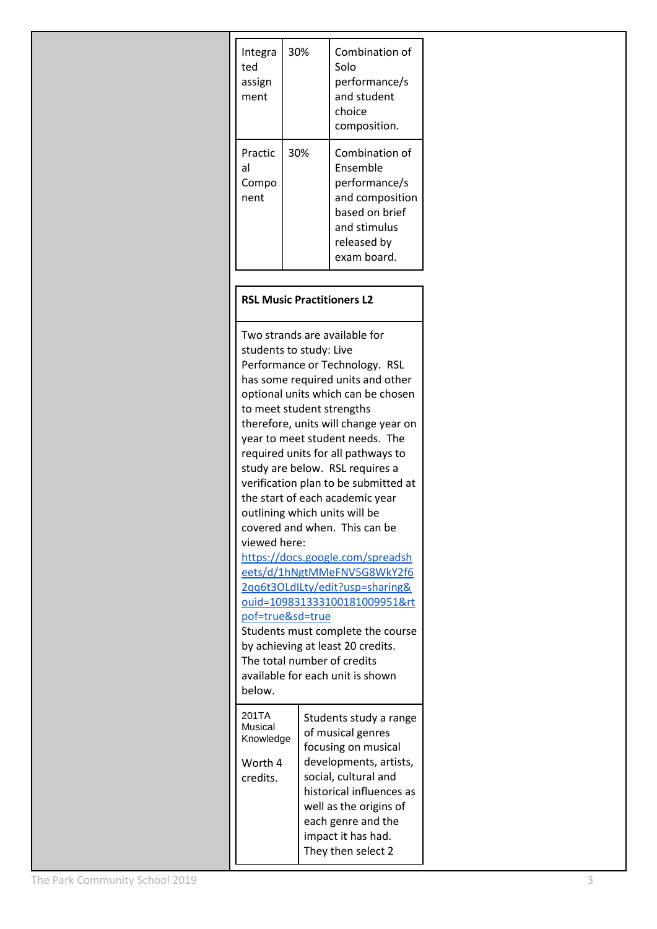| Integra<br>ted<br>assign<br>ment | 30% | Combination of<br>Solo<br>performance/s<br>and student<br>choice<br>composition.                                               |
|----------------------------------|-----|--------------------------------------------------------------------------------------------------------------------------------|
| Practic<br>al<br>Compo<br>nent   | 30% | Combination of<br>Ensemble<br>performance/s<br>and composition<br>based on brief<br>and stimulus<br>released by<br>exam board. |

#### **RSL Music Practitioners L2**

Two strands are available for students to study: Live Performance or Technology. RSL has some required units and other optional units which can be chosen to meet student strengths therefore, units will change year on year to meet student needs. The required units for all pathways to study are below. RSL requires a verification plan to be submitted at the start of each academic year outlining which units will be covered and when. This can be viewed here: [https://docs.google.com/spreadsh](https://docs.google.com/spreadsheets/d/1hNgtMMeFNV5G8WkY2f62qq6t3OLdILty/edit?usp=sharing&ouid=109831333100181009951&rtpof=true&sd=true) [eets/d/1hNgtMMeFNV5G8WkY2f6](https://docs.google.com/spreadsheets/d/1hNgtMMeFNV5G8WkY2f62qq6t3OLdILty/edit?usp=sharing&ouid=109831333100181009951&rtpof=true&sd=true) [2qq6t3OLdILty/edit?usp=sharing&](https://docs.google.com/spreadsheets/d/1hNgtMMeFNV5G8WkY2f62qq6t3OLdILty/edit?usp=sharing&ouid=109831333100181009951&rtpof=true&sd=true) [ouid=109831333100181009951&rt](https://docs.google.com/spreadsheets/d/1hNgtMMeFNV5G8WkY2f62qq6t3OLdILty/edit?usp=sharing&ouid=109831333100181009951&rtpof=true&sd=true) [pof=true&sd=true](https://docs.google.com/spreadsheets/d/1hNgtMMeFNV5G8WkY2f62qq6t3OLdILty/edit?usp=sharing&ouid=109831333100181009951&rtpof=true&sd=true) Students must complete the course by achieving at least 20 credits. The total number of credits available for each unit is shown below. 201TA Musical Knowledge Worth 4 credits. Students study a range of musical genres focusing on musical developments, artists, social, cultural and historical influences as well as the origins of each genre and the impact it has had. They then select 2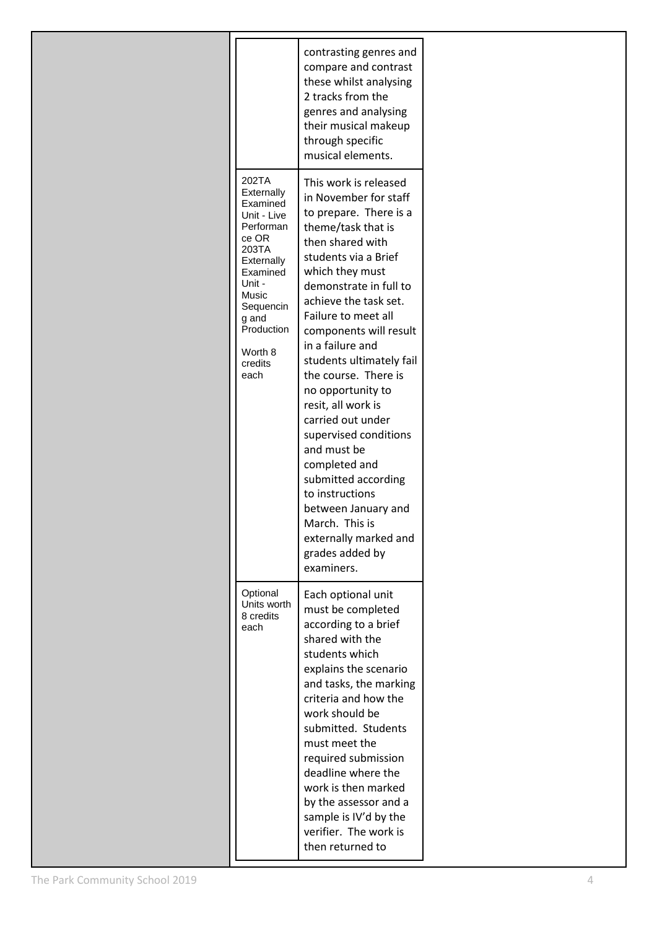|                                                                                                                                                                                              | contrasting genres and<br>compare and contrast<br>these whilst analysing<br>2 tracks from the<br>genres and analysing<br>their musical makeup<br>through specific<br>musical elements.                                                                                                                                                                                                                                                                                                                                                                                                                          |
|----------------------------------------------------------------------------------------------------------------------------------------------------------------------------------------------|-----------------------------------------------------------------------------------------------------------------------------------------------------------------------------------------------------------------------------------------------------------------------------------------------------------------------------------------------------------------------------------------------------------------------------------------------------------------------------------------------------------------------------------------------------------------------------------------------------------------|
| 202TA<br>Externally<br>Examined<br>Unit - Live<br>Performan<br>ce OR<br>203TA<br>Externally<br>Examined<br>Unit -<br>Music<br>Sequencin<br>g and<br>Production<br>Worth 8<br>credits<br>each | This work is released<br>in November for staff<br>to prepare. There is a<br>theme/task that is<br>then shared with<br>students via a Brief<br>which they must<br>demonstrate in full to<br>achieve the task set.<br>Failure to meet all<br>components will result<br>in a failure and<br>students ultimately fail<br>the course. There is<br>no opportunity to<br>resit, all work is<br>carried out under<br>supervised conditions<br>and must be<br>completed and<br>submitted according<br>to instructions<br>between January and<br>March. This is<br>externally marked and<br>grades added by<br>examiners. |
| Optional<br>Units worth<br>8 credits<br>each                                                                                                                                                 | Each optional unit<br>must be completed<br>according to a brief<br>shared with the<br>students which<br>explains the scenario<br>and tasks, the marking<br>criteria and how the<br>work should be<br>submitted. Students<br>must meet the<br>required submission<br>deadline where the<br>work is then marked<br>by the assessor and a<br>sample is IV'd by the<br>verifier. The work is<br>then returned to                                                                                                                                                                                                    |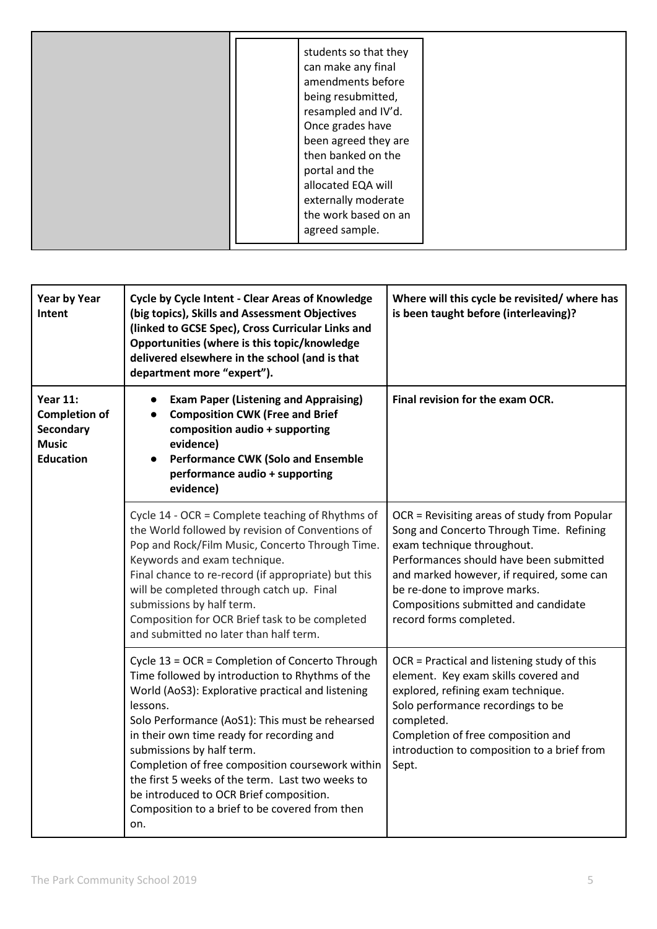| students so that they<br>can make any final<br>amendments before<br>being resubmitted,<br>resampled and IV'd.<br>Once grades have<br>been agreed they are<br>then banked on the<br>portal and the<br>allocated EQA will<br>externally moderate |  |
|------------------------------------------------------------------------------------------------------------------------------------------------------------------------------------------------------------------------------------------------|--|
| the work based on an<br>agreed sample.                                                                                                                                                                                                         |  |

| <b>Year by Year</b><br>Intent                                                            | <b>Cycle by Cycle Intent - Clear Areas of Knowledge</b><br>(big topics), Skills and Assessment Objectives<br>(linked to GCSE Spec), Cross Curricular Links and<br>Opportunities (where is this topic/knowledge<br>delivered elsewhere in the school (and is that<br>department more "expert").                                                                                                                                                                                                               | Where will this cycle be revisited/ where has<br>is been taught before (interleaving)?                                                                                                                                                                                                                            |
|------------------------------------------------------------------------------------------|--------------------------------------------------------------------------------------------------------------------------------------------------------------------------------------------------------------------------------------------------------------------------------------------------------------------------------------------------------------------------------------------------------------------------------------------------------------------------------------------------------------|-------------------------------------------------------------------------------------------------------------------------------------------------------------------------------------------------------------------------------------------------------------------------------------------------------------------|
| <b>Year 11:</b><br><b>Completion of</b><br>Secondary<br><b>Music</b><br><b>Education</b> | <b>Exam Paper (Listening and Appraising)</b><br>$\bullet$<br><b>Composition CWK (Free and Brief</b><br>$\bullet$<br>composition audio + supporting<br>evidence)<br><b>Performance CWK (Solo and Ensemble</b><br>$\bullet$<br>performance audio + supporting<br>evidence)                                                                                                                                                                                                                                     | Final revision for the exam OCR.                                                                                                                                                                                                                                                                                  |
|                                                                                          | Cycle 14 - OCR = Complete teaching of Rhythms of<br>the World followed by revision of Conventions of<br>Pop and Rock/Film Music, Concerto Through Time.<br>Keywords and exam technique.<br>Final chance to re-record (if appropriate) but this<br>will be completed through catch up. Final<br>submissions by half term.<br>Composition for OCR Brief task to be completed<br>and submitted no later than half term.                                                                                         | OCR = Revisiting areas of study from Popular<br>Song and Concerto Through Time. Refining<br>exam technique throughout.<br>Performances should have been submitted<br>and marked however, if required, some can<br>be re-done to improve marks.<br>Compositions submitted and candidate<br>record forms completed. |
|                                                                                          | Cycle 13 = OCR = Completion of Concerto Through<br>Time followed by introduction to Rhythms of the<br>World (AoS3): Explorative practical and listening<br>lessons.<br>Solo Performance (AoS1): This must be rehearsed<br>in their own time ready for recording and<br>submissions by half term.<br>Completion of free composition coursework within<br>the first 5 weeks of the term. Last two weeks to<br>be introduced to OCR Brief composition.<br>Composition to a brief to be covered from then<br>on. | OCR = Practical and listening study of this<br>element. Key exam skills covered and<br>explored, refining exam technique.<br>Solo performance recordings to be<br>completed.<br>Completion of free composition and<br>introduction to composition to a brief from<br>Sept.                                        |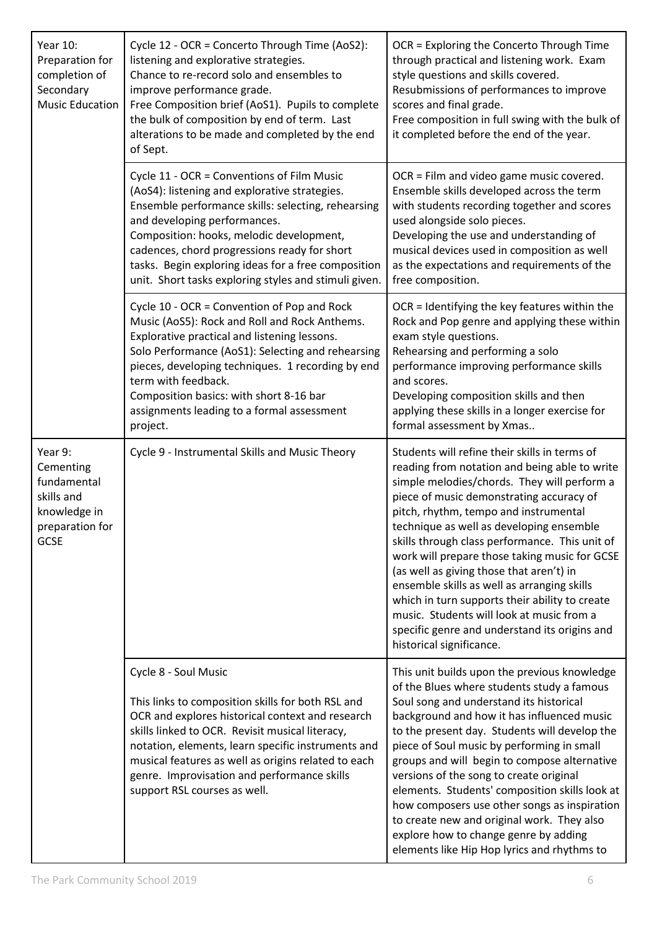| Year 10:<br>Preparation for<br>completion of<br>Secondary<br><b>Music Education</b>                 | Cycle 12 - OCR = Concerto Through Time (AoS2):<br>listening and explorative strategies.<br>Chance to re-record solo and ensembles to<br>improve performance grade.<br>Free Composition brief (AoS1). Pupils to complete<br>the bulk of composition by end of term. Last<br>alterations to be made and completed by the end<br>of Sept.                                                        | OCR = Exploring the Concerto Through Time<br>through practical and listening work. Exam<br>style questions and skills covered.<br>Resubmissions of performances to improve<br>scores and final grade.<br>Free composition in full swing with the bulk of<br>it completed before the end of the year.                                                                                                                                                                                                                                                                                                                                                     |
|-----------------------------------------------------------------------------------------------------|-----------------------------------------------------------------------------------------------------------------------------------------------------------------------------------------------------------------------------------------------------------------------------------------------------------------------------------------------------------------------------------------------|----------------------------------------------------------------------------------------------------------------------------------------------------------------------------------------------------------------------------------------------------------------------------------------------------------------------------------------------------------------------------------------------------------------------------------------------------------------------------------------------------------------------------------------------------------------------------------------------------------------------------------------------------------|
|                                                                                                     | Cycle 11 - OCR = Conventions of Film Music<br>(AoS4): listening and explorative strategies.<br>Ensemble performance skills: selecting, rehearsing<br>and developing performances.<br>Composition: hooks, melodic development,<br>cadences, chord progressions ready for short<br>tasks. Begin exploring ideas for a free composition<br>unit. Short tasks exploring styles and stimuli given. | OCR = Film and video game music covered.<br>Ensemble skills developed across the term<br>with students recording together and scores<br>used alongside solo pieces.<br>Developing the use and understanding of<br>musical devices used in composition as well<br>as the expectations and requirements of the<br>free composition.                                                                                                                                                                                                                                                                                                                        |
|                                                                                                     | Cycle 10 - OCR = Convention of Pop and Rock<br>Music (AoS5): Rock and Roll and Rock Anthems.<br>Explorative practical and listening lessons.<br>Solo Performance (AoS1): Selecting and rehearsing<br>pieces, developing techniques. 1 recording by end<br>term with feedback.<br>Composition basics: with short 8-16 bar<br>assignments leading to a formal assessment<br>project.            | OCR = Identifying the key features within the<br>Rock and Pop genre and applying these within<br>exam style questions.<br>Rehearsing and performing a solo<br>performance improving performance skills<br>and scores.<br>Developing composition skills and then<br>applying these skills in a longer exercise for<br>formal assessment by Xmas                                                                                                                                                                                                                                                                                                           |
| Year 9:<br>Cementing<br>fundamental<br>skills and<br>knowledge in<br>preparation for<br><b>GCSE</b> | Cycle 9 - Instrumental Skills and Music Theory                                                                                                                                                                                                                                                                                                                                                | Students will refine their skills in terms of<br>reading from notation and being able to write<br>simple melodies/chords. They will perform a<br>piece of music demonstrating accuracy of<br>pitch, rhythm, tempo and instrumental<br>technique as well as developing ensemble<br>skills through class performance. This unit of<br>work will prepare those taking music for GCSE<br>(as well as giving those that aren't) in<br>ensemble skills as well as arranging skills<br>which in turn supports their ability to create<br>music. Students will look at music from a<br>specific genre and understand its origins and<br>historical significance. |
|                                                                                                     | Cycle 8 - Soul Music<br>This links to composition skills for both RSL and<br>OCR and explores historical context and research<br>skills linked to OCR. Revisit musical literacy,<br>notation, elements, learn specific instruments and<br>musical features as well as origins related to each<br>genre. Improvisation and performance skills<br>support RSL courses as well.                  | This unit builds upon the previous knowledge<br>of the Blues where students study a famous<br>Soul song and understand its historical<br>background and how it has influenced music<br>to the present day. Students will develop the<br>piece of Soul music by performing in small<br>groups and will begin to compose alternative<br>versions of the song to create original<br>elements. Students' composition skills look at<br>how composers use other songs as inspiration<br>to create new and original work. They also<br>explore how to change genre by adding<br>elements like Hip Hop lyrics and rhythms to                                    |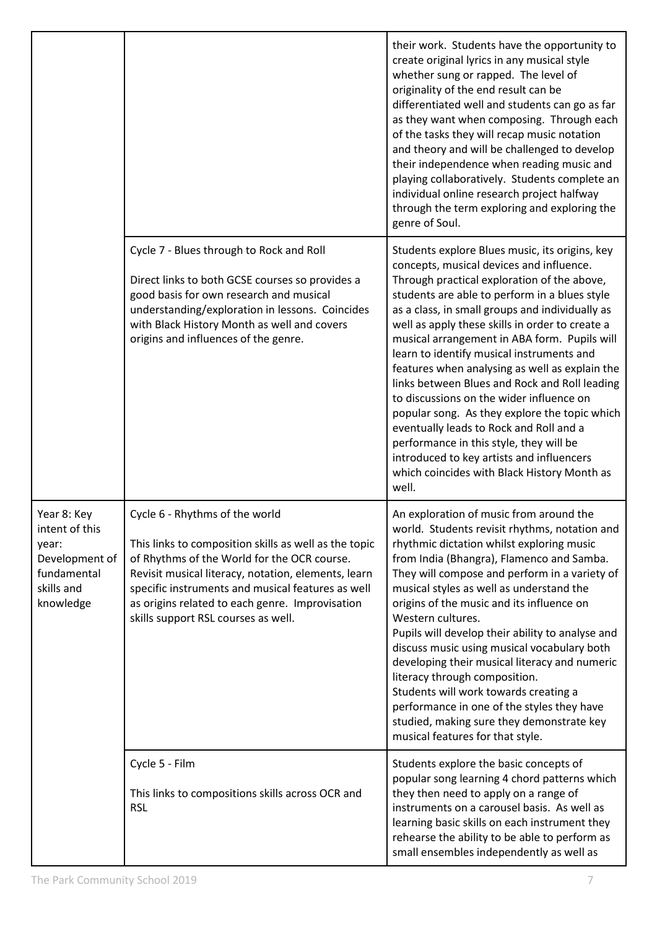|                                                                                                    |                                                                                                                                                                                                                                                                                                                                              | their work. Students have the opportunity to<br>create original lyrics in any musical style<br>whether sung or rapped. The level of<br>originality of the end result can be<br>differentiated well and students can go as far<br>as they want when composing. Through each<br>of the tasks they will recap music notation<br>and theory and will be challenged to develop<br>their independence when reading music and<br>playing collaboratively. Students complete an<br>individual online research project halfway<br>through the term exploring and exploring the<br>genre of Soul.                                                                                                                                                                                                  |
|----------------------------------------------------------------------------------------------------|----------------------------------------------------------------------------------------------------------------------------------------------------------------------------------------------------------------------------------------------------------------------------------------------------------------------------------------------|------------------------------------------------------------------------------------------------------------------------------------------------------------------------------------------------------------------------------------------------------------------------------------------------------------------------------------------------------------------------------------------------------------------------------------------------------------------------------------------------------------------------------------------------------------------------------------------------------------------------------------------------------------------------------------------------------------------------------------------------------------------------------------------|
|                                                                                                    | Cycle 7 - Blues through to Rock and Roll<br>Direct links to both GCSE courses so provides a<br>good basis for own research and musical<br>understanding/exploration in lessons. Coincides<br>with Black History Month as well and covers<br>origins and influences of the genre.                                                             | Students explore Blues music, its origins, key<br>concepts, musical devices and influence.<br>Through practical exploration of the above,<br>students are able to perform in a blues style<br>as a class, in small groups and individually as<br>well as apply these skills in order to create a<br>musical arrangement in ABA form. Pupils will<br>learn to identify musical instruments and<br>features when analysing as well as explain the<br>links between Blues and Rock and Roll leading<br>to discussions on the wider influence on<br>popular song. As they explore the topic which<br>eventually leads to Rock and Roll and a<br>performance in this style, they will be<br>introduced to key artists and influencers<br>which coincides with Black History Month as<br>well. |
| Year 8: Key<br>intent of this<br>year:<br>Development of<br>fundamental<br>skills and<br>knowledge | Cycle 6 - Rhythms of the world<br>This links to composition skills as well as the topic<br>of Rhythms of the World for the OCR course.<br>Revisit musical literacy, notation, elements, learn<br>specific instruments and musical features as well<br>as origins related to each genre. Improvisation<br>skills support RSL courses as well. | An exploration of music from around the<br>world. Students revisit rhythms, notation and<br>rhythmic dictation whilst exploring music<br>from India (Bhangra), Flamenco and Samba.<br>They will compose and perform in a variety of<br>musical styles as well as understand the<br>origins of the music and its influence on<br>Western cultures.<br>Pupils will develop their ability to analyse and<br>discuss music using musical vocabulary both<br>developing their musical literacy and numeric<br>literacy through composition.<br>Students will work towards creating a<br>performance in one of the styles they have<br>studied, making sure they demonstrate key<br>musical features for that style.                                                                           |
|                                                                                                    | Cycle 5 - Film<br>This links to compositions skills across OCR and<br><b>RSL</b>                                                                                                                                                                                                                                                             | Students explore the basic concepts of<br>popular song learning 4 chord patterns which<br>they then need to apply on a range of<br>instruments on a carousel basis. As well as<br>learning basic skills on each instrument they<br>rehearse the ability to be able to perform as<br>small ensembles independently as well as                                                                                                                                                                                                                                                                                                                                                                                                                                                             |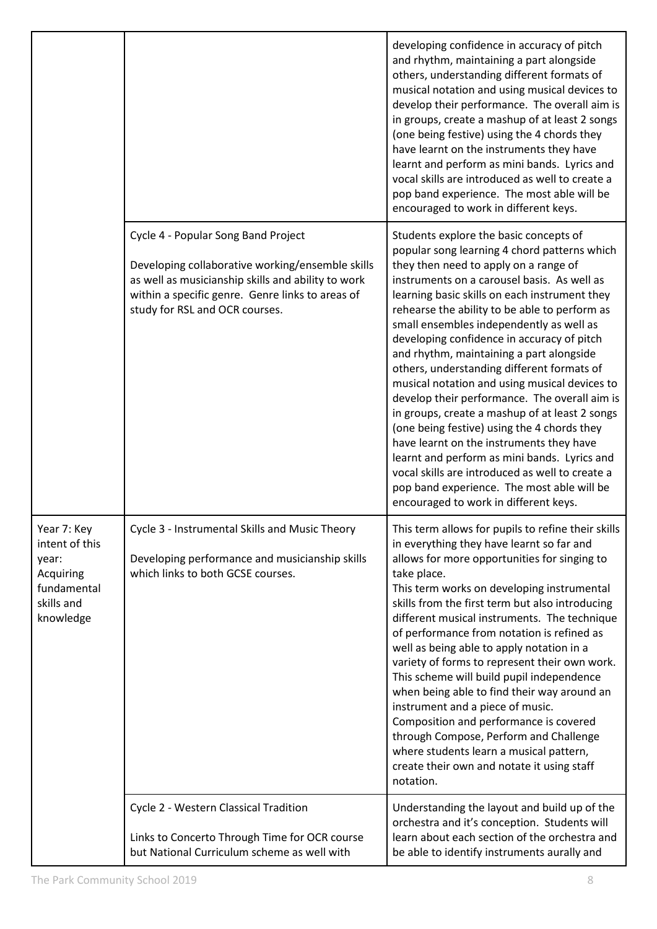|                                                                                               |                                                                                                                                                                                                                                     | developing confidence in accuracy of pitch<br>and rhythm, maintaining a part alongside<br>others, understanding different formats of<br>musical notation and using musical devices to<br>develop their performance. The overall aim is<br>in groups, create a mashup of at least 2 songs<br>(one being festive) using the 4 chords they<br>have learnt on the instruments they have<br>learnt and perform as mini bands. Lyrics and<br>vocal skills are introduced as well to create a<br>pop band experience. The most able will be<br>encouraged to work in different keys.                                                                                                                                                                                                                                                                                                                                 |
|-----------------------------------------------------------------------------------------------|-------------------------------------------------------------------------------------------------------------------------------------------------------------------------------------------------------------------------------------|---------------------------------------------------------------------------------------------------------------------------------------------------------------------------------------------------------------------------------------------------------------------------------------------------------------------------------------------------------------------------------------------------------------------------------------------------------------------------------------------------------------------------------------------------------------------------------------------------------------------------------------------------------------------------------------------------------------------------------------------------------------------------------------------------------------------------------------------------------------------------------------------------------------|
|                                                                                               | Cycle 4 - Popular Song Band Project<br>Developing collaborative working/ensemble skills<br>as well as musicianship skills and ability to work<br>within a specific genre. Genre links to areas of<br>study for RSL and OCR courses. | Students explore the basic concepts of<br>popular song learning 4 chord patterns which<br>they then need to apply on a range of<br>instruments on a carousel basis. As well as<br>learning basic skills on each instrument they<br>rehearse the ability to be able to perform as<br>small ensembles independently as well as<br>developing confidence in accuracy of pitch<br>and rhythm, maintaining a part alongside<br>others, understanding different formats of<br>musical notation and using musical devices to<br>develop their performance. The overall aim is<br>in groups, create a mashup of at least 2 songs<br>(one being festive) using the 4 chords they<br>have learnt on the instruments they have<br>learnt and perform as mini bands. Lyrics and<br>vocal skills are introduced as well to create a<br>pop band experience. The most able will be<br>encouraged to work in different keys. |
| Year 7: Key<br>intent of this<br>year:<br>Acquiring<br>fundamental<br>skills and<br>knowledge | Cycle 3 - Instrumental Skills and Music Theory<br>Developing performance and musicianship skills<br>which links to both GCSE courses.                                                                                               | This term allows for pupils to refine their skills<br>in everything they have learnt so far and<br>allows for more opportunities for singing to<br>take place.<br>This term works on developing instrumental<br>skills from the first term but also introducing<br>different musical instruments. The technique<br>of performance from notation is refined as<br>well as being able to apply notation in a<br>variety of forms to represent their own work.<br>This scheme will build pupil independence<br>when being able to find their way around an<br>instrument and a piece of music.<br>Composition and performance is covered<br>through Compose, Perform and Challenge<br>where students learn a musical pattern,<br>create their own and notate it using staff<br>notation.                                                                                                                         |
|                                                                                               | Cycle 2 - Western Classical Tradition<br>Links to Concerto Through Time for OCR course<br>but National Curriculum scheme as well with                                                                                               | Understanding the layout and build up of the<br>orchestra and it's conception. Students will<br>learn about each section of the orchestra and<br>be able to identify instruments aurally and                                                                                                                                                                                                                                                                                                                                                                                                                                                                                                                                                                                                                                                                                                                  |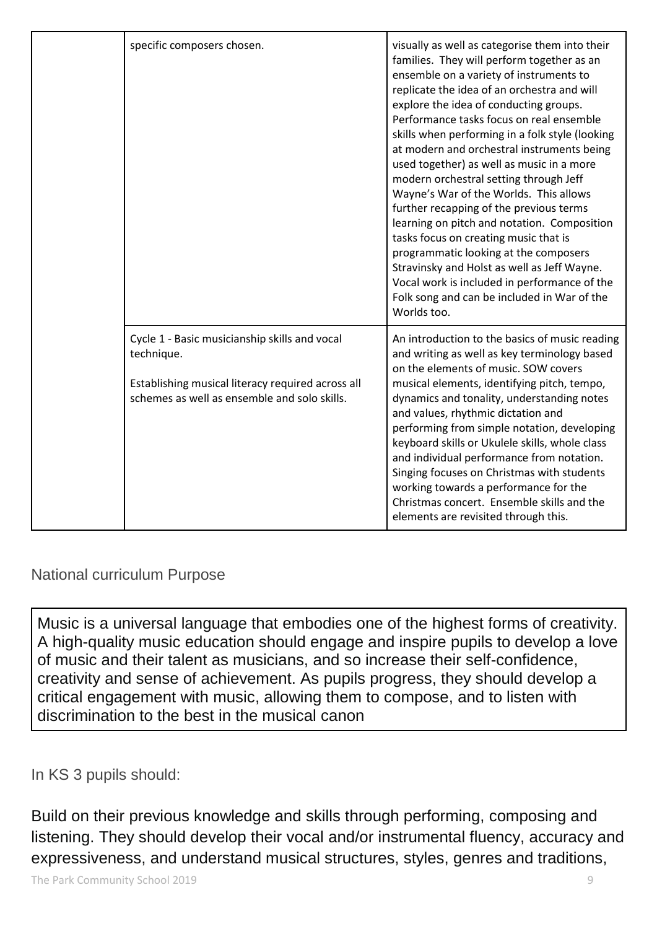|  | specific composers chosen.                                                                                                                                       | visually as well as categorise them into their<br>families. They will perform together as an<br>ensemble on a variety of instruments to<br>replicate the idea of an orchestra and will<br>explore the idea of conducting groups.<br>Performance tasks focus on real ensemble<br>skills when performing in a folk style (looking<br>at modern and orchestral instruments being<br>used together) as well as music in a more<br>modern orchestral setting through Jeff<br>Wayne's War of the Worlds. This allows<br>further recapping of the previous terms<br>learning on pitch and notation. Composition<br>tasks focus on creating music that is<br>programmatic looking at the composers<br>Stravinsky and Holst as well as Jeff Wayne.<br>Vocal work is included in performance of the<br>Folk song and can be included in War of the<br>Worlds too. |
|--|------------------------------------------------------------------------------------------------------------------------------------------------------------------|---------------------------------------------------------------------------------------------------------------------------------------------------------------------------------------------------------------------------------------------------------------------------------------------------------------------------------------------------------------------------------------------------------------------------------------------------------------------------------------------------------------------------------------------------------------------------------------------------------------------------------------------------------------------------------------------------------------------------------------------------------------------------------------------------------------------------------------------------------|
|  | Cycle 1 - Basic musicianship skills and vocal<br>technique.<br>Establishing musical literacy required across all<br>schemes as well as ensemble and solo skills. | An introduction to the basics of music reading<br>and writing as well as key terminology based<br>on the elements of music. SOW covers<br>musical elements, identifying pitch, tempo,<br>dynamics and tonality, understanding notes<br>and values, rhythmic dictation and<br>performing from simple notation, developing<br>keyboard skills or Ukulele skills, whole class<br>and individual performance from notation.<br>Singing focuses on Christmas with students<br>working towards a performance for the<br>Christmas concert. Ensemble skills and the<br>elements are revisited through this.                                                                                                                                                                                                                                                    |

### National curriculum Purpose

Music is a universal language that embodies one of the highest forms of creativity. A high-quality music education should engage and inspire pupils to develop a love of music and their talent as musicians, and so increase their self-confidence, creativity and sense of achievement. As pupils progress, they should develop a critical engagement with music, allowing them to compose, and to listen with discrimination to the best in the musical canon

### In KS 3 pupils should:

Build on their previous knowledge and skills through performing, composing and listening. They should develop their vocal and/or instrumental fluency, accuracy and expressiveness, and understand musical structures, styles, genres and traditions,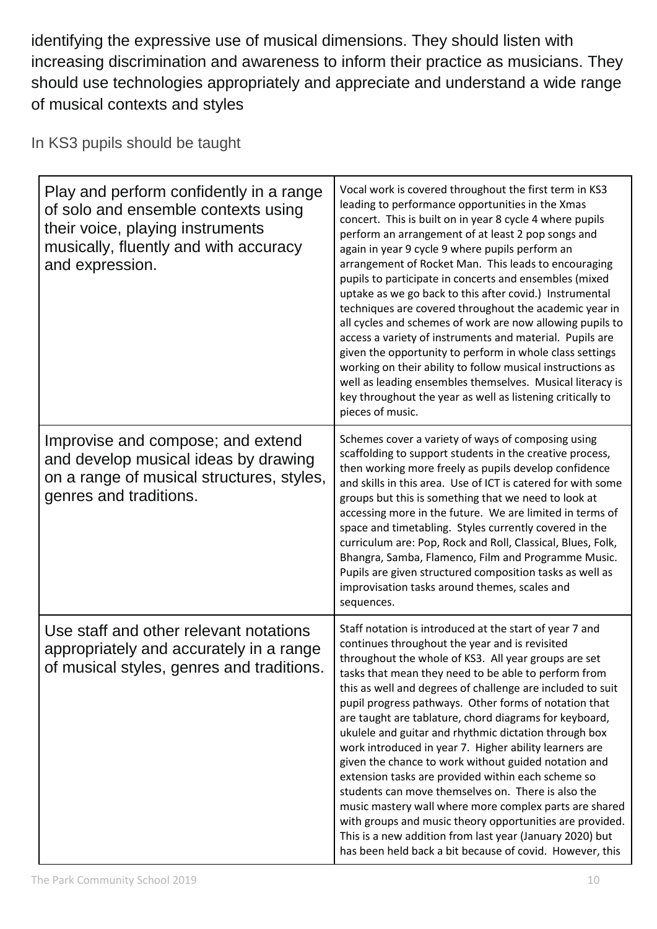identifying the expressive use of musical dimensions. They should listen with increasing discrimination and awareness to inform their practice as musicians. They should use technologies appropriately and appreciate and understand a wide range of musical contexts and styles

In KS3 pupils should be taught

| Play and perform confidently in a range<br>of solo and ensemble contexts using<br>their voice, playing instruments<br>musically, fluently and with accuracy<br>and expression. | Vocal work is covered throughout the first term in KS3<br>leading to performance opportunities in the Xmas<br>concert. This is built on in year 8 cycle 4 where pupils<br>perform an arrangement of at least 2 pop songs and<br>again in year 9 cycle 9 where pupils perform an<br>arrangement of Rocket Man. This leads to encouraging<br>pupils to participate in concerts and ensembles (mixed<br>uptake as we go back to this after covid.) Instrumental<br>techniques are covered throughout the academic year in<br>all cycles and schemes of work are now allowing pupils to<br>access a variety of instruments and material. Pupils are<br>given the opportunity to perform in whole class settings<br>working on their ability to follow musical instructions as<br>well as leading ensembles themselves. Musical literacy is<br>key throughout the year as well as listening critically to<br>pieces of music.                        |
|--------------------------------------------------------------------------------------------------------------------------------------------------------------------------------|-------------------------------------------------------------------------------------------------------------------------------------------------------------------------------------------------------------------------------------------------------------------------------------------------------------------------------------------------------------------------------------------------------------------------------------------------------------------------------------------------------------------------------------------------------------------------------------------------------------------------------------------------------------------------------------------------------------------------------------------------------------------------------------------------------------------------------------------------------------------------------------------------------------------------------------------------|
| Improvise and compose; and extend<br>and develop musical ideas by drawing<br>on a range of musical structures, styles,<br>genres and traditions.                               | Schemes cover a variety of ways of composing using<br>scaffolding to support students in the creative process,<br>then working more freely as pupils develop confidence<br>and skills in this area. Use of ICT is catered for with some<br>groups but this is something that we need to look at<br>accessing more in the future. We are limited in terms of<br>space and timetabling. Styles currently covered in the<br>curriculum are: Pop, Rock and Roll, Classical, Blues, Folk,<br>Bhangra, Samba, Flamenco, Film and Programme Music.<br>Pupils are given structured composition tasks as well as<br>improvisation tasks around themes, scales and<br>sequences.                                                                                                                                                                                                                                                                          |
| Use staff and other relevant notations<br>appropriately and accurately in a range<br>of musical styles, genres and traditions                                                  | Staff notation is introduced at the start of year 7 and<br>continues throughout the year and is revisited<br>throughout the whole of KS3. All year groups are set<br>tasks that mean they need to be able to perform from<br>this as well and degrees of challenge are included to suit<br>pupil progress pathways. Other forms of notation that<br>are taught are tablature, chord diagrams for keyboard,<br>ukulele and guitar and rhythmic dictation through box<br>work introduced in year 7. Higher ability learners are<br>given the chance to work without guided notation and<br>extension tasks are provided within each scheme so<br>students can move themselves on. There is also the<br>music mastery wall where more complex parts are shared<br>with groups and music theory opportunities are provided.<br>This is a new addition from last year (January 2020) but<br>has been held back a bit because of covid. However, this |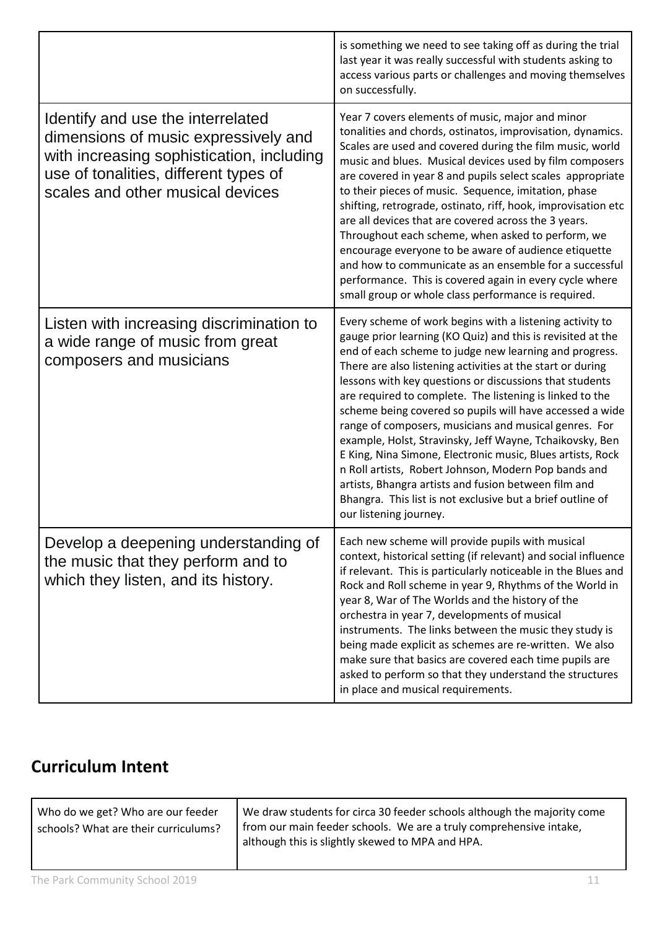|                                                                                                                                                                                                     | is something we need to see taking off as during the trial<br>last year it was really successful with students asking to<br>access various parts or challenges and moving themselves<br>on successfully.                                                                                                                                                                                                                                                                                                                                                                                                                                                                                                                                                                                                                      |
|-----------------------------------------------------------------------------------------------------------------------------------------------------------------------------------------------------|-------------------------------------------------------------------------------------------------------------------------------------------------------------------------------------------------------------------------------------------------------------------------------------------------------------------------------------------------------------------------------------------------------------------------------------------------------------------------------------------------------------------------------------------------------------------------------------------------------------------------------------------------------------------------------------------------------------------------------------------------------------------------------------------------------------------------------|
| Identify and use the interrelated<br>dimensions of music expressively and<br>with increasing sophistication, including<br>use of tonalities, different types of<br>scales and other musical devices | Year 7 covers elements of music, major and minor<br>tonalities and chords, ostinatos, improvisation, dynamics.<br>Scales are used and covered during the film music, world<br>music and blues. Musical devices used by film composers<br>are covered in year 8 and pupils select scales appropriate<br>to their pieces of music. Sequence, imitation, phase<br>shifting, retrograde, ostinato, riff, hook, improvisation etc<br>are all devices that are covered across the 3 years.<br>Throughout each scheme, when asked to perform, we<br>encourage everyone to be aware of audience etiquette<br>and how to communicate as an ensemble for a successful<br>performance. This is covered again in every cycle where<br>small group or whole class performance is required.                                                 |
| Listen with increasing discrimination to<br>a wide range of music from great<br>composers and musicians                                                                                             | Every scheme of work begins with a listening activity to<br>gauge prior learning (KO Quiz) and this is revisited at the<br>end of each scheme to judge new learning and progress.<br>There are also listening activities at the start or during<br>lessons with key questions or discussions that students<br>are required to complete. The listening is linked to the<br>scheme being covered so pupils will have accessed a wide<br>range of composers, musicians and musical genres. For<br>example, Holst, Stravinsky, Jeff Wayne, Tchaikovsky, Ben<br>E King, Nina Simone, Electronic music, Blues artists, Rock<br>n Roll artists, Robert Johnson, Modern Pop bands and<br>artists, Bhangra artists and fusion between film and<br>Bhangra. This list is not exclusive but a brief outline of<br>our listening journey. |
| Develop a deepening understanding of<br>the music that they perform and to<br>which they listen, and its history.                                                                                   | Each new scheme will provide pupils with musical<br>context, historical setting (if relevant) and social influence<br>if relevant. This is particularly noticeable in the Blues and<br>Rock and Roll scheme in year 9, Rhythms of the World in<br>year 8, War of The Worlds and the history of the<br>orchestra in year 7, developments of musical<br>instruments. The links between the music they study is<br>being made explicit as schemes are re-written. We also<br>make sure that basics are covered each time pupils are<br>asked to perform so that they understand the structures<br>in place and musical requirements.                                                                                                                                                                                             |

# **Curriculum Intent**

| Who do we get? Who are our feeder<br>schools? What are their curriculums? | We draw students for circa 30 feeder schools although the majority come<br>from our main feeder schools. We are a truly comprehensive intake,<br>although this is slightly skewed to MPA and HPA. |
|---------------------------------------------------------------------------|---------------------------------------------------------------------------------------------------------------------------------------------------------------------------------------------------|
| The Park Community School 2019                                            |                                                                                                                                                                                                   |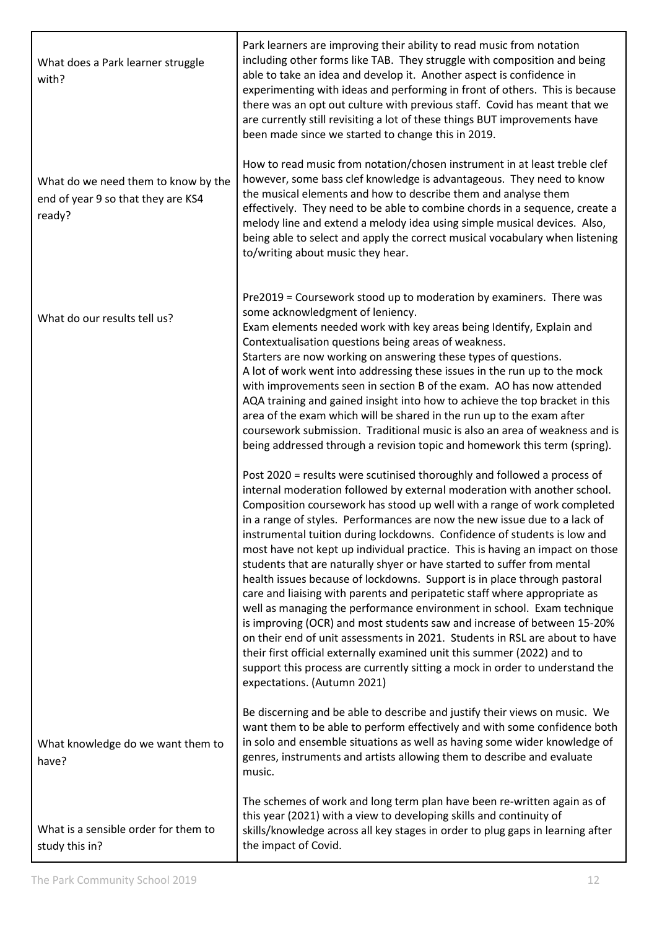| What does a Park learner struggle<br>with?                                          | Park learners are improving their ability to read music from notation<br>including other forms like TAB. They struggle with composition and being<br>able to take an idea and develop it. Another aspect is confidence in<br>experimenting with ideas and performing in front of others. This is because<br>there was an opt out culture with previous staff. Covid has meant that we<br>are currently still revisiting a lot of these things BUT improvements have<br>been made since we started to change this in 2019.                                                                                                                                                                                                                                                                                                                                                                                                                                                                                                                                                                                                                  |
|-------------------------------------------------------------------------------------|--------------------------------------------------------------------------------------------------------------------------------------------------------------------------------------------------------------------------------------------------------------------------------------------------------------------------------------------------------------------------------------------------------------------------------------------------------------------------------------------------------------------------------------------------------------------------------------------------------------------------------------------------------------------------------------------------------------------------------------------------------------------------------------------------------------------------------------------------------------------------------------------------------------------------------------------------------------------------------------------------------------------------------------------------------------------------------------------------------------------------------------------|
| What do we need them to know by the<br>end of year 9 so that they are KS4<br>ready? | How to read music from notation/chosen instrument in at least treble clef<br>however, some bass clef knowledge is advantageous. They need to know<br>the musical elements and how to describe them and analyse them<br>effectively. They need to be able to combine chords in a sequence, create a<br>melody line and extend a melody idea using simple musical devices. Also,<br>being able to select and apply the correct musical vocabulary when listening<br>to/writing about music they hear.                                                                                                                                                                                                                                                                                                                                                                                                                                                                                                                                                                                                                                        |
| What do our results tell us?                                                        | Pre2019 = Coursework stood up to moderation by examiners. There was<br>some acknowledgment of leniency.<br>Exam elements needed work with key areas being Identify, Explain and<br>Contextualisation questions being areas of weakness.<br>Starters are now working on answering these types of questions.<br>A lot of work went into addressing these issues in the run up to the mock<br>with improvements seen in section B of the exam. AO has now attended<br>AQA training and gained insight into how to achieve the top bracket in this<br>area of the exam which will be shared in the run up to the exam after<br>coursework submission. Traditional music is also an area of weakness and is<br>being addressed through a revision topic and homework this term (spring).                                                                                                                                                                                                                                                                                                                                                        |
|                                                                                     | Post 2020 = results were scutinised thoroughly and followed a process of<br>internal moderation followed by external moderation with another school.<br>Composition coursework has stood up well with a range of work completed<br>in a range of styles. Performances are now the new issue due to a lack of<br>instrumental tuition during lockdowns. Confidence of students is low and<br>most have not kept up individual practice. This is having an impact on those<br>students that are naturally shyer or have started to suffer from mental<br>health issues because of lockdowns. Support is in place through pastoral<br>care and liaising with parents and peripatetic staff where appropriate as<br>well as managing the performance environment in school. Exam technique<br>is improving (OCR) and most students saw and increase of between 15-20%<br>on their end of unit assessments in 2021. Students in RSL are about to have<br>their first official externally examined unit this summer (2022) and to<br>support this process are currently sitting a mock in order to understand the<br>expectations. (Autumn 2021) |
| What knowledge do we want them to<br>have?                                          | Be discerning and be able to describe and justify their views on music. We<br>want them to be able to perform effectively and with some confidence both<br>in solo and ensemble situations as well as having some wider knowledge of<br>genres, instruments and artists allowing them to describe and evaluate<br>music.                                                                                                                                                                                                                                                                                                                                                                                                                                                                                                                                                                                                                                                                                                                                                                                                                   |
| What is a sensible order for them to<br>study this in?                              | The schemes of work and long term plan have been re-written again as of<br>this year (2021) with a view to developing skills and continuity of<br>skills/knowledge across all key stages in order to plug gaps in learning after<br>the impact of Covid.                                                                                                                                                                                                                                                                                                                                                                                                                                                                                                                                                                                                                                                                                                                                                                                                                                                                                   |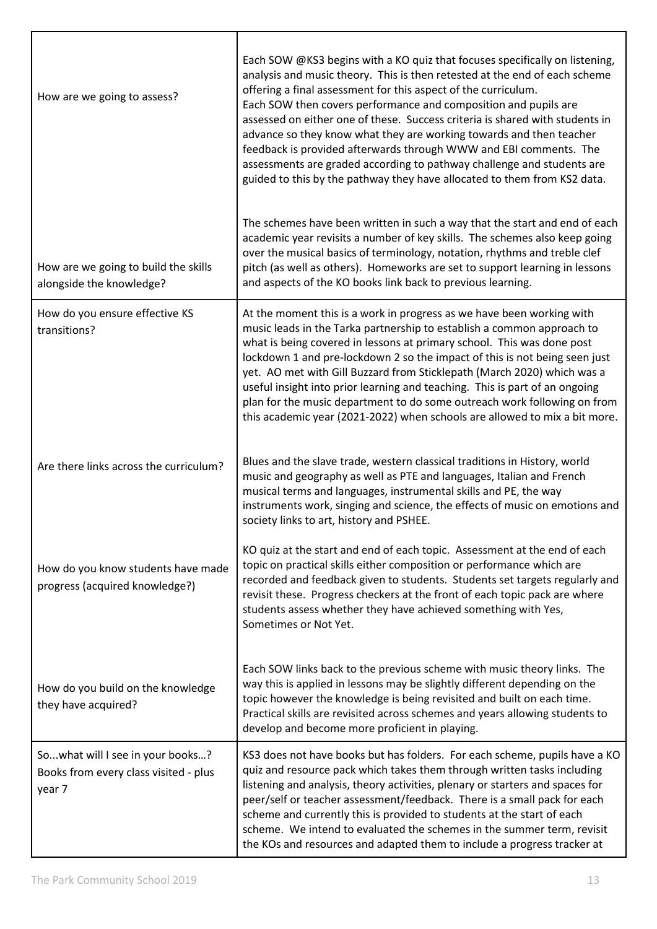| How are we going to assess?                                                         | Each SOW @KS3 begins with a KO quiz that focuses specifically on listening,<br>analysis and music theory. This is then retested at the end of each scheme<br>offering a final assessment for this aspect of the curriculum.<br>Each SOW then covers performance and composition and pupils are<br>assessed on either one of these. Success criteria is shared with students in<br>advance so they know what they are working towards and then teacher<br>feedback is provided afterwards through WWW and EBI comments. The<br>assessments are graded according to pathway challenge and students are<br>guided to this by the pathway they have allocated to them from KS2 data. |
|-------------------------------------------------------------------------------------|----------------------------------------------------------------------------------------------------------------------------------------------------------------------------------------------------------------------------------------------------------------------------------------------------------------------------------------------------------------------------------------------------------------------------------------------------------------------------------------------------------------------------------------------------------------------------------------------------------------------------------------------------------------------------------|
| How are we going to build the skills<br>alongside the knowledge?                    | The schemes have been written in such a way that the start and end of each<br>academic year revisits a number of key skills. The schemes also keep going<br>over the musical basics of terminology, notation, rhythms and treble clef<br>pitch (as well as others). Homeworks are set to support learning in lessons<br>and aspects of the KO books link back to previous learning.                                                                                                                                                                                                                                                                                              |
| How do you ensure effective KS<br>transitions?                                      | At the moment this is a work in progress as we have been working with<br>music leads in the Tarka partnership to establish a common approach to<br>what is being covered in lessons at primary school. This was done post<br>lockdown 1 and pre-lockdown 2 so the impact of this is not being seen just<br>yet. AO met with Gill Buzzard from Sticklepath (March 2020) which was a<br>useful insight into prior learning and teaching. This is part of an ongoing<br>plan for the music department to do some outreach work following on from<br>this academic year (2021-2022) when schools are allowed to mix a bit more.                                                      |
| Are there links across the curriculum?                                              | Blues and the slave trade, western classical traditions in History, world<br>music and geography as well as PTE and languages, Italian and French<br>musical terms and languages, instrumental skills and PE, the way<br>instruments work, singing and science, the effects of music on emotions and<br>society links to art, history and PSHEE.                                                                                                                                                                                                                                                                                                                                 |
| How do you know students have made<br>progress (acquired knowledge?)                | KO quiz at the start and end of each topic. Assessment at the end of each<br>topic on practical skills either composition or performance which are<br>recorded and feedback given to students. Students set targets regularly and<br>revisit these. Progress checkers at the front of each topic pack are where<br>students assess whether they have achieved something with Yes,<br>Sometimes or Not Yet.                                                                                                                                                                                                                                                                       |
| How do you build on the knowledge<br>they have acquired?                            | Each SOW links back to the previous scheme with music theory links. The<br>way this is applied in lessons may be slightly different depending on the<br>topic however the knowledge is being revisited and built on each time.<br>Practical skills are revisited across schemes and years allowing students to<br>develop and become more proficient in playing.                                                                                                                                                                                                                                                                                                                 |
| Sowhat will I see in your books?<br>Books from every class visited - plus<br>year 7 | KS3 does not have books but has folders. For each scheme, pupils have a KO<br>quiz and resource pack which takes them through written tasks including<br>listening and analysis, theory activities, plenary or starters and spaces for<br>peer/self or teacher assessment/feedback. There is a small pack for each<br>scheme and currently this is provided to students at the start of each<br>scheme. We intend to evaluated the schemes in the summer term, revisit<br>the KOs and resources and adapted them to include a progress tracker at                                                                                                                                |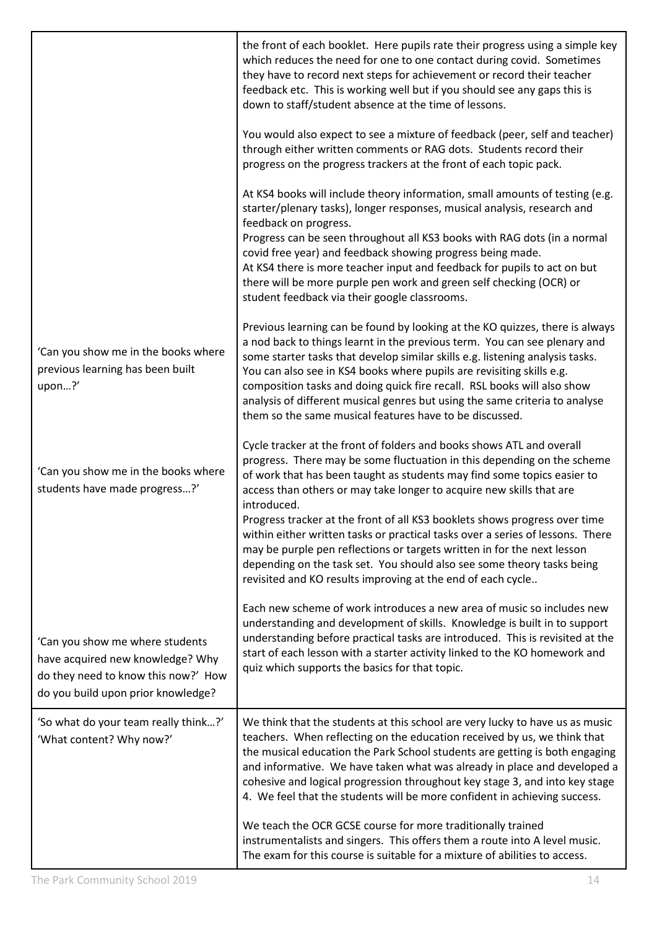|                                                                                                                                                  | the front of each booklet. Here pupils rate their progress using a simple key<br>which reduces the need for one to one contact during covid. Sometimes<br>they have to record next steps for achievement or record their teacher<br>feedback etc. This is working well but if you should see any gaps this is<br>down to staff/student absence at the time of lessons.                                                                                                                                                                                                                                                                                                                                 |
|--------------------------------------------------------------------------------------------------------------------------------------------------|--------------------------------------------------------------------------------------------------------------------------------------------------------------------------------------------------------------------------------------------------------------------------------------------------------------------------------------------------------------------------------------------------------------------------------------------------------------------------------------------------------------------------------------------------------------------------------------------------------------------------------------------------------------------------------------------------------|
|                                                                                                                                                  | You would also expect to see a mixture of feedback (peer, self and teacher)<br>through either written comments or RAG dots. Students record their<br>progress on the progress trackers at the front of each topic pack.                                                                                                                                                                                                                                                                                                                                                                                                                                                                                |
|                                                                                                                                                  | At KS4 books will include theory information, small amounts of testing (e.g.<br>starter/plenary tasks), longer responses, musical analysis, research and<br>feedback on progress.<br>Progress can be seen throughout all KS3 books with RAG dots (in a normal<br>covid free year) and feedback showing progress being made.<br>At KS4 there is more teacher input and feedback for pupils to act on but<br>there will be more purple pen work and green self checking (OCR) or                                                                                                                                                                                                                         |
|                                                                                                                                                  | student feedback via their google classrooms.                                                                                                                                                                                                                                                                                                                                                                                                                                                                                                                                                                                                                                                          |
| 'Can you show me in the books where<br>previous learning has been built<br>upon?'                                                                | Previous learning can be found by looking at the KO quizzes, there is always<br>a nod back to things learnt in the previous term. You can see plenary and<br>some starter tasks that develop similar skills e.g. listening analysis tasks.<br>You can also see in KS4 books where pupils are revisiting skills e.g.<br>composition tasks and doing quick fire recall. RSL books will also show<br>analysis of different musical genres but using the same criteria to analyse<br>them so the same musical features have to be discussed.                                                                                                                                                               |
| 'Can you show me in the books where<br>students have made progress?'                                                                             | Cycle tracker at the front of folders and books shows ATL and overall<br>progress. There may be some fluctuation in this depending on the scheme<br>of work that has been taught as students may find some topics easier to<br>access than others or may take longer to acquire new skills that are<br>introduced.<br>Progress tracker at the front of all KS3 booklets shows progress over time<br>within either written tasks or practical tasks over a series of lessons. There<br>may be purple pen reflections or targets written in for the next lesson<br>depending on the task set. You should also see some theory tasks being<br>revisited and KO results improving at the end of each cycle |
| 'Can you show me where students<br>have acquired new knowledge? Why<br>do they need to know this now?' How<br>do you build upon prior knowledge? | Each new scheme of work introduces a new area of music so includes new<br>understanding and development of skills. Knowledge is built in to support<br>understanding before practical tasks are introduced. This is revisited at the<br>start of each lesson with a starter activity linked to the KO homework and<br>quiz which supports the basics for that topic.                                                                                                                                                                                                                                                                                                                                   |
| 'So what do your team really think?'<br>'What content? Why now?'                                                                                 | We think that the students at this school are very lucky to have us as music<br>teachers. When reflecting on the education received by us, we think that<br>the musical education the Park School students are getting is both engaging<br>and informative. We have taken what was already in place and developed a<br>cohesive and logical progression throughout key stage 3, and into key stage<br>4. We feel that the students will be more confident in achieving success.                                                                                                                                                                                                                        |
|                                                                                                                                                  | We teach the OCR GCSE course for more traditionally trained<br>instrumentalists and singers. This offers them a route into A level music.<br>The exam for this course is suitable for a mixture of abilities to access.                                                                                                                                                                                                                                                                                                                                                                                                                                                                                |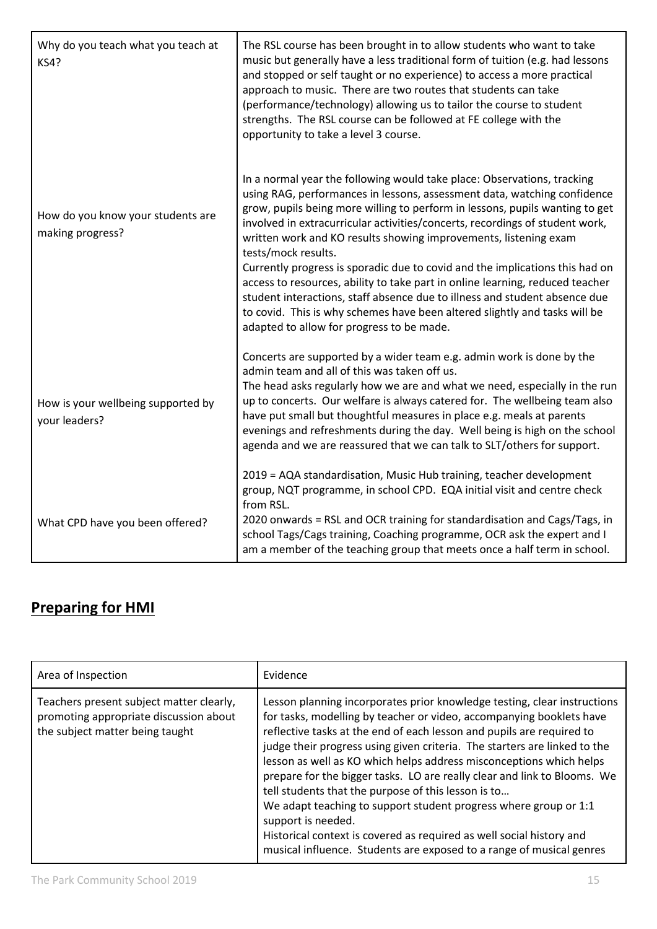| Why do you teach what you teach at<br><b>KS4?</b>     | The RSL course has been brought in to allow students who want to take<br>music but generally have a less traditional form of tuition (e.g. had lessons<br>and stopped or self taught or no experience) to access a more practical<br>approach to music. There are two routes that students can take<br>(performance/technology) allowing us to tailor the course to student<br>strengths. The RSL course can be followed at FE college with the<br>opportunity to take a level 3 course.                                                                                                                                                                                                                                                                                                 |
|-------------------------------------------------------|------------------------------------------------------------------------------------------------------------------------------------------------------------------------------------------------------------------------------------------------------------------------------------------------------------------------------------------------------------------------------------------------------------------------------------------------------------------------------------------------------------------------------------------------------------------------------------------------------------------------------------------------------------------------------------------------------------------------------------------------------------------------------------------|
| How do you know your students are<br>making progress? | In a normal year the following would take place: Observations, tracking<br>using RAG, performances in lessons, assessment data, watching confidence<br>grow, pupils being more willing to perform in lessons, pupils wanting to get<br>involved in extracurricular activities/concerts, recordings of student work,<br>written work and KO results showing improvements, listening exam<br>tests/mock results.<br>Currently progress is sporadic due to covid and the implications this had on<br>access to resources, ability to take part in online learning, reduced teacher<br>student interactions, staff absence due to illness and student absence due<br>to covid. This is why schemes have been altered slightly and tasks will be<br>adapted to allow for progress to be made. |
| How is your wellbeing supported by<br>your leaders?   | Concerts are supported by a wider team e.g. admin work is done by the<br>admin team and all of this was taken off us.<br>The head asks regularly how we are and what we need, especially in the run<br>up to concerts. Our welfare is always catered for. The wellbeing team also<br>have put small but thoughtful measures in place e.g. meals at parents<br>evenings and refreshments during the day. Well being is high on the school<br>agenda and we are reassured that we can talk to SLT/others for support.                                                                                                                                                                                                                                                                      |
| What CPD have you been offered?                       | 2019 = AQA standardisation, Music Hub training, teacher development<br>group, NQT programme, in school CPD. EQA initial visit and centre check<br>from RSL.<br>2020 onwards = RSL and OCR training for standardisation and Cags/Tags, in<br>school Tags/Cags training, Coaching programme, OCR ask the expert and I<br>am a member of the teaching group that meets once a half term in school.                                                                                                                                                                                                                                                                                                                                                                                          |

## **Preparing for HMI**

| Area of Inspection                                                                                                    | Evidence                                                                                                                                                                                                                                                                                                                                                                                                                                                                                                                                                                                                                                                                                                                                                   |
|-----------------------------------------------------------------------------------------------------------------------|------------------------------------------------------------------------------------------------------------------------------------------------------------------------------------------------------------------------------------------------------------------------------------------------------------------------------------------------------------------------------------------------------------------------------------------------------------------------------------------------------------------------------------------------------------------------------------------------------------------------------------------------------------------------------------------------------------------------------------------------------------|
| Teachers present subject matter clearly,<br>promoting appropriate discussion about<br>the subject matter being taught | Lesson planning incorporates prior knowledge testing, clear instructions<br>for tasks, modelling by teacher or video, accompanying booklets have<br>reflective tasks at the end of each lesson and pupils are required to<br>judge their progress using given criteria. The starters are linked to the<br>lesson as well as KO which helps address misconceptions which helps<br>prepare for the bigger tasks. LO are really clear and link to Blooms. We<br>tell students that the purpose of this lesson is to<br>We adapt teaching to support student progress where group or 1:1<br>support is needed.<br>Historical context is covered as required as well social history and<br>musical influence. Students are exposed to a range of musical genres |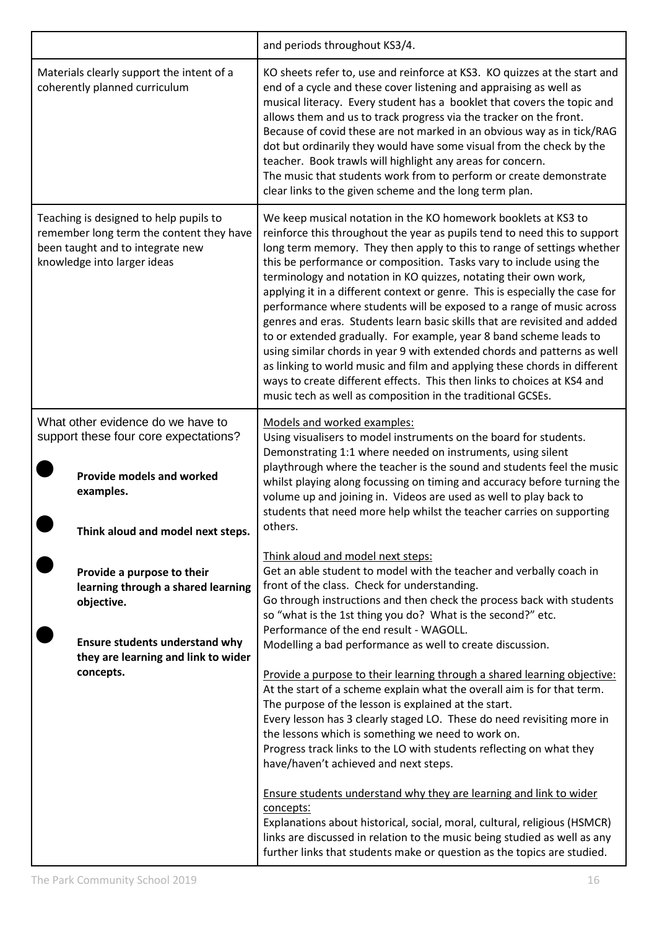|                                                                                                                                                                             | and periods throughout KS3/4.                                                                                                                                                                                                                                                                                                                                                                                                                                                                                                                                                                                                                                                                                                                                                                                                                                                                                                                                                   |
|-----------------------------------------------------------------------------------------------------------------------------------------------------------------------------|---------------------------------------------------------------------------------------------------------------------------------------------------------------------------------------------------------------------------------------------------------------------------------------------------------------------------------------------------------------------------------------------------------------------------------------------------------------------------------------------------------------------------------------------------------------------------------------------------------------------------------------------------------------------------------------------------------------------------------------------------------------------------------------------------------------------------------------------------------------------------------------------------------------------------------------------------------------------------------|
| Materials clearly support the intent of a<br>coherently planned curriculum                                                                                                  | KO sheets refer to, use and reinforce at KS3. KO quizzes at the start and<br>end of a cycle and these cover listening and appraising as well as<br>musical literacy. Every student has a booklet that covers the topic and<br>allows them and us to track progress via the tracker on the front.<br>Because of covid these are not marked in an obvious way as in tick/RAG<br>dot but ordinarily they would have some visual from the check by the<br>teacher. Book trawls will highlight any areas for concern.<br>The music that students work from to perform or create demonstrate<br>clear links to the given scheme and the long term plan.                                                                                                                                                                                                                                                                                                                               |
| Teaching is designed to help pupils to<br>remember long term the content they have<br>been taught and to integrate new<br>knowledge into larger ideas                       | We keep musical notation in the KO homework booklets at KS3 to<br>reinforce this throughout the year as pupils tend to need this to support<br>long term memory. They then apply to this to range of settings whether<br>this be performance or composition. Tasks vary to include using the<br>terminology and notation in KO quizzes, notating their own work,<br>applying it in a different context or genre. This is especially the case for<br>performance where students will be exposed to a range of music across<br>genres and eras. Students learn basic skills that are revisited and added<br>to or extended gradually. For example, year 8 band scheme leads to<br>using similar chords in year 9 with extended chords and patterns as well<br>as linking to world music and film and applying these chords in different<br>ways to create different effects. This then links to choices at KS4 and<br>music tech as well as composition in the traditional GCSEs. |
| What other evidence do we have to<br>support these four core expectations?<br><b>Provide models and worked</b><br>examples.<br>Think aloud and model next steps.            | Models and worked examples:<br>Using visualisers to model instruments on the board for students.<br>Demonstrating 1:1 where needed on instruments, using silent<br>playthrough where the teacher is the sound and students feel the music<br>whilst playing along focussing on timing and accuracy before turning the<br>volume up and joining in. Videos are used as well to play back to<br>students that need more help whilst the teacher carries on supporting<br>others.                                                                                                                                                                                                                                                                                                                                                                                                                                                                                                  |
| Provide a purpose to their<br>learning through a shared learning<br>objective.<br><b>Ensure students understand why</b><br>they are learning and link to wider<br>concepts. | Think aloud and model next steps:<br>Get an able student to model with the teacher and verbally coach in<br>front of the class. Check for understanding.<br>Go through instructions and then check the process back with students<br>so "what is the 1st thing you do? What is the second?" etc.<br>Performance of the end result - WAGOLL.<br>Modelling a bad performance as well to create discussion.<br>Provide a purpose to their learning through a shared learning objective:<br>At the start of a scheme explain what the overall aim is for that term.<br>The purpose of the lesson is explained at the start.<br>Every lesson has 3 clearly staged LO. These do need revisiting more in<br>the lessons which is something we need to work on.<br>Progress track links to the LO with students reflecting on what they<br>have/haven't achieved and next steps.                                                                                                        |
|                                                                                                                                                                             | Ensure students understand why they are learning and link to wider<br>concepts:<br>Explanations about historical, social, moral, cultural, religious (HSMCR)<br>links are discussed in relation to the music being studied as well as any<br>further links that students make or question as the topics are studied.                                                                                                                                                                                                                                                                                                                                                                                                                                                                                                                                                                                                                                                            |